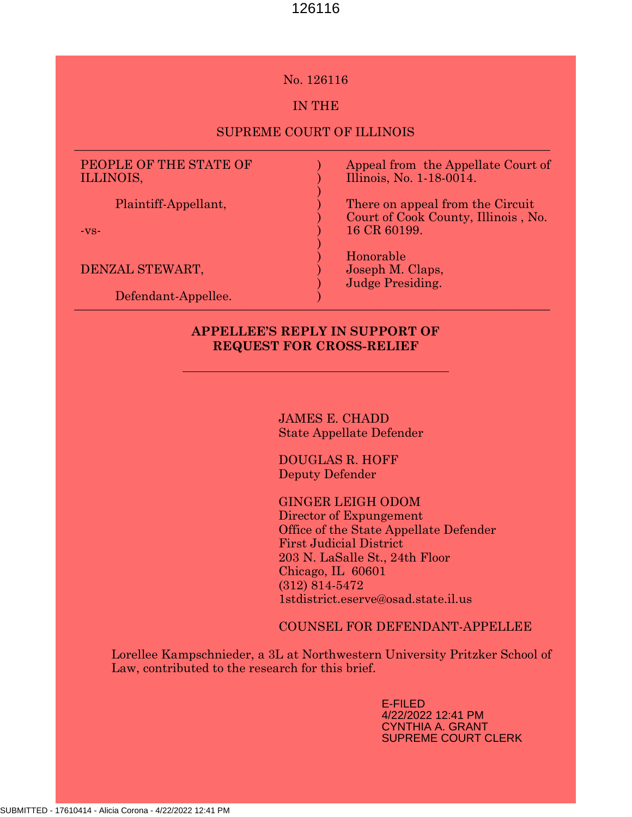#### No. 126116

# IN THE

#### SUPREME COURT OF ILLINOIS \_\_\_\_\_\_\_\_\_\_\_\_\_\_\_\_\_\_\_\_\_\_\_\_\_\_\_\_\_\_\_\_\_\_\_\_\_\_\_\_\_\_\_\_\_\_\_\_\_\_\_\_\_\_\_\_\_\_\_\_\_\_\_\_\_\_\_\_\_\_\_\_\_\_\_\_\_

) ) ) ) ) ) ) ) ) ) )

# PEOPLE OF THE STATE OF ILLINOIS,

Plaintiff-Appellant,

-vs-

DENZAL STEWART,

 Defendant-Appellee.  $\mathcal{L}$  cromand ripponed:

Appeal from the Appellate Court of Illinois, No. 1-18-0014.

There on appeal from the Circuit Court of Cook County, Illinois , No. 16 CR 60199.

Honorable Joseph M. Claps, Judge Presiding.

# APPELLEE'S REPLY IN SUPPORT OF REQUEST FOR CROSS-RELIEF

JAMES E. CHADD State Appellate Defender

DOUGLAS R. HOFF Deputy Defender

#### GINGER LEIGH ODOM

Director of Expungement Office of the State Appellate Defender First Judicial District 203 N. LaSalle St., 24th Floor Chicago, IL 60601 (312) 814-5472 1stdistrict.eserve@osad.state.il.us

COUNSEL FOR DEFENDANT-APPELLEE

Lorellee Kampschnieder, a 3L at Northwestern University Pritzker School of Law, contributed to the research for this brief.

> E-FILED 4/22/2022 12:41 PM CYNTHIA A. GRANT SUPREME COURT CLERK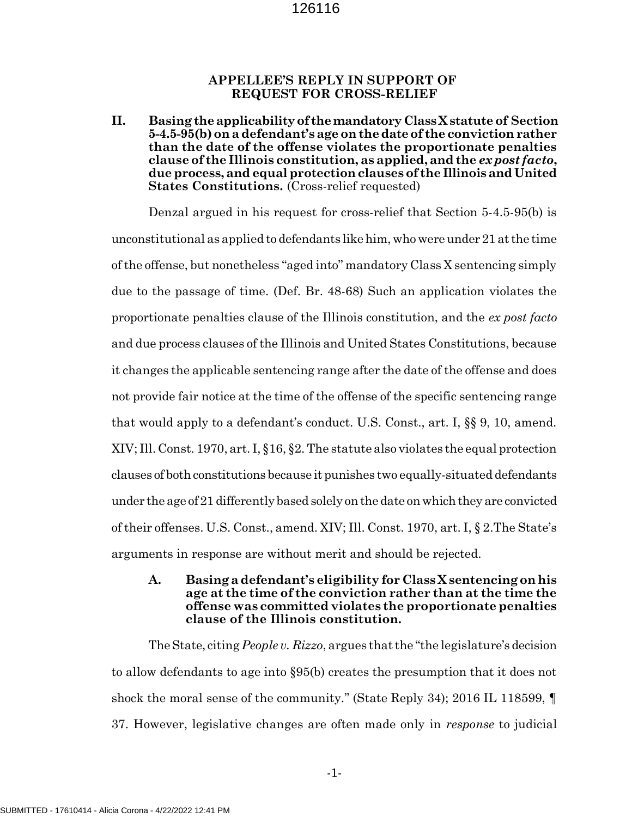#### APPELLEE'S REPLY IN SUPPORT OF REQUEST FOR CROSS-RELIEF

II. Basing the applicability of the mandatory Class X statute of Section 5-4.5-95(b) on a defendant's age on the date of the conviction rather than the date of the offense violates the proportionate penalties clause of the Illinois constitution, as applied, and the ex post facto, due process, and equal protection clauses of the Illinois and United States Constitutions. (Cross-relief requested)

Denzal argued in his request for cross-relief that Section 5-4.5-95(b) is unconstitutional as applied to defendants like him, who were under 21 at the time of the offense, but nonetheless "aged into" mandatory Class X sentencing simply due to the passage of time. (Def. Br. 48-68) Such an application violates the proportionate penalties clause of the Illinois constitution, and the ex post facto and due process clauses of the Illinois and United States Constitutions, because it changes the applicable sentencing range after the date of the offense and does not provide fair notice at the time of the offense of the specific sentencing range that would apply to a defendant's conduct. U.S. Const., art. I, §§ 9, 10, amend. XIV; Ill. Const. 1970, art. I, §16, §2. The statute also violates the equal protection clauses of both constitutions because it punishes two equally-situated defendants under the age of 21 differently based solely on the date on which they are convicted of their offenses. U.S. Const., amend. XIV; Ill. Const. 1970, art. I, § 2.The State's arguments in response are without merit and should be rejected.

#### A. Basing a defendant's eligibility for Class X sentencing on his age at the time of the conviction rather than at the time the offense was committed violates the proportionate penalties clause of the Illinois constitution.

The State, citing People v. Rizzo, argues that the "the legislature's decision to allow defendants to age into §95(b) creates the presumption that it does not shock the moral sense of the community." (State Reply 34); 2016 IL 118599, ¶ 37. However, legislative changes are often made only in response to judicial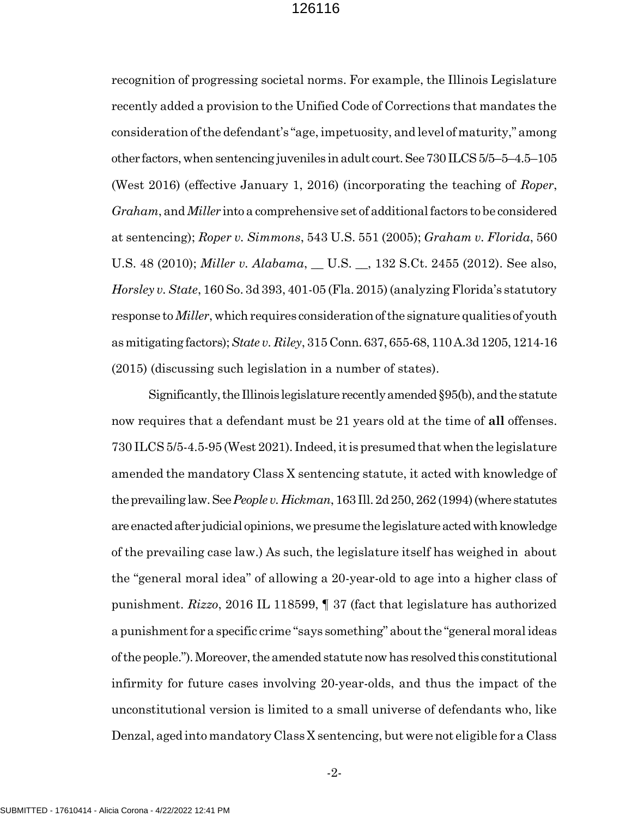recognition of progressing societal norms. For example, the Illinois Legislature recently added a provision to the Unified Code of Corrections that mandates the consideration of the defendant's "age, impetuosity, and level of maturity," among other factors, when sentencing juveniles in adult court. See 730 ILCS 5/5–5–4.5–105 (West 2016) (effective January 1, 2016) (incorporating the teaching of Roper, Graham, and Miller into a comprehensive set of additional factors to be considered at sentencing); Roper v. Simmons, 543 U.S. 551 (2005); Graham v. Florida, 560 U.S. 48 (2010); *Miller v. Alabama*, \_ U.S. \_, 132 S.Ct. 2455 (2012). See also, Horsley v. State, 160 So. 3d 393, 401-05 (Fla. 2015) (analyzing Florida's statutory response to *Miller*, which requires consideration of the signature qualities of youth as mitigating factors); State v. Riley, 315 Conn. 637, 655-68, 110 A.3d 1205, 1214-16 (2015) (discussing such legislation in a number of states).

Significantly, the Illinois legislature recently amended §95(b), and the statute now requires that a defendant must be 21 years old at the time of all offenses. 730 ILCS 5/5-4.5-95 (West 2021). Indeed, it is presumed that when the legislature amended the mandatory Class X sentencing statute, it acted with knowledge of the prevailing law. See People v. Hickman, 163 Ill. 2d 250, 262 (1994) (where statutes are enacted after judicial opinions, we presume the legislature acted with knowledge of the prevailing case law.) As such, the legislature itself has weighed in about the "general moral idea" of allowing a 20-year-old to age into a higher class of punishment. Rizzo, 2016 IL 118599,  $\parallel$  37 (fact that legislature has authorized a punishment for a specific crime "says something" about the "general moral ideas of the people."). Moreover, the amended statute now has resolved this constitutional infirmity for future cases involving 20-year-olds, and thus the impact of the unconstitutional version is limited to a small universe of defendants who, like Denzal, aged into mandatory Class X sentencing, but were not eligible for a Class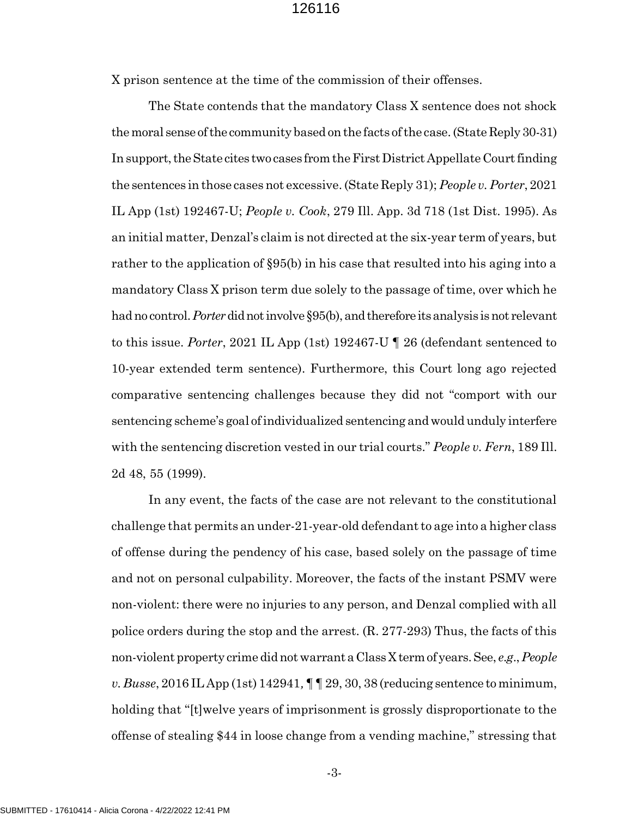X prison sentence at the time of the commission of their offenses.

The State contends that the mandatory Class X sentence does not shock the moral sense of the community based on the facts of the case. (State Reply 30-31) In support, the State cites two cases from the First District Appellate Court finding the sentences in those cases not excessive. (State Reply 31); People v. Porter, 2021 IL App (1st) 192467-U; People v. Cook, 279 Ill. App. 3d 718 (1st Dist. 1995). As an initial matter, Denzal's claim is not directed at the six-year term of years, but rather to the application of §95(b) in his case that resulted into his aging into a mandatory Class X prison term due solely to the passage of time, over which he had no control. *Porter* did not involve §95(b), and therefore its analysis is not relevant to this issue. Porter, 2021 IL App (1st) 192467-U  $\parallel$  26 (defendant sentenced to 10-year extended term sentence). Furthermore, this Court long ago rejected comparative sentencing challenges because they did not "comport with our sentencing scheme's goal of individualized sentencing and would unduly interfere with the sentencing discretion vested in our trial courts." People v. Fern, 189 Ill. 2d 48, 55 (1999).

In any event, the facts of the case are not relevant to the constitutional challenge that permits an under-21-year-old defendant to age into a higher class of offense during the pendency of his case, based solely on the passage of time and not on personal culpability. Moreover, the facts of the instant PSMV were non-violent: there were no injuries to any person, and Denzal complied with all police orders during the stop and the arrest. (R. 277-293) Thus, the facts of this non-violent property crime did not warrant a Class X term of years. See, e.g., People v. Busse, 2016 IL App (1st) 142941,  $\P\P$  29, 30, 38 (reducing sentence to minimum, holding that "[t]welve years of imprisonment is grossly disproportionate to the offense of stealing \$44 in loose change from a vending machine," stressing that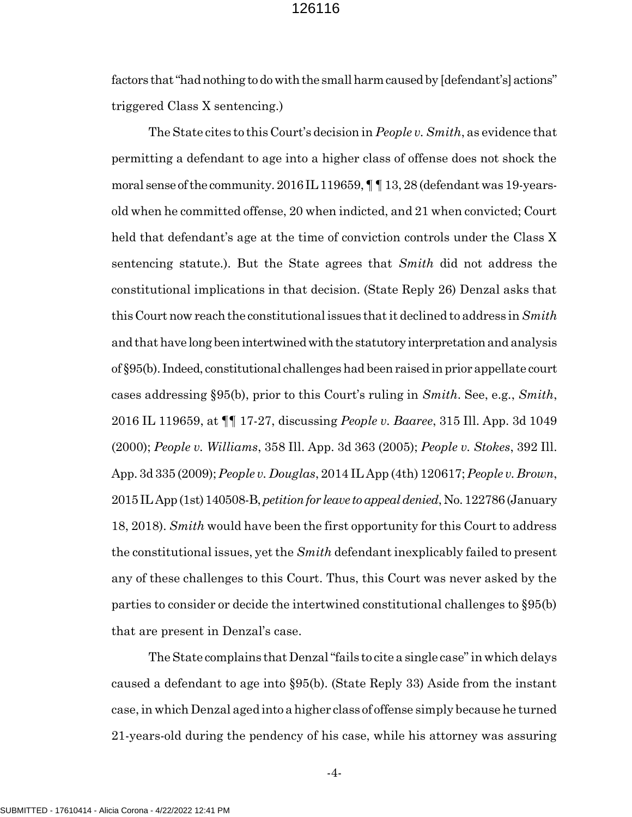factors that "had nothing to do with the small harm caused by [defendant's] actions" triggered Class X sentencing.)

The State cites to this Court's decision in People v. Smith, as evidence that permitting a defendant to age into a higher class of offense does not shock the moral sense of the community. 2016 IL 119659, ¶ ¶ 13, 28 (defendant was 19-yearsold when he committed offense, 20 when indicted, and 21 when convicted; Court held that defendant's age at the time of conviction controls under the Class X sentencing statute.). But the State agrees that Smith did not address the constitutional implications in that decision. (State Reply 26) Denzal asks that this Court now reach the constitutional issues that it declined to address in  $Smith$ and that have long been intertwined with the statutory interpretation and analysis of §95(b). Indeed, constitutional challenges had been raised in prior appellate court cases addressing §95(b), prior to this Court's ruling in  $Smith$ . See, e.g.,  $Smith$ . 2016 IL 119659, at  $\P$  17-27, discussing *People v. Baaree*, 315 Ill. App. 3d 1049 (2000); People v. Williams, 358 Ill. App. 3d 363 (2005); People v. Stokes, 392 Ill. App. 3d 335 (2009); People v. Douglas, 2014 IL App (4th) 120617; People v. Brown, 2015 IL App (1st) 140508-B, petition for leave to appeal denied, No. 122786 (January 18, 2018). Smith would have been the first opportunity for this Court to address the constitutional issues, yet the  $Smith$  defendant inexplicably failed to present any of these challenges to this Court. Thus, this Court was never asked by the parties to consider or decide the intertwined constitutional challenges to §95(b) that are present in Denzal's case.

The State complains that Denzal "fails to cite a single case" in which delays caused a defendant to age into §95(b). (State Reply 33) Aside from the instant case, in which Denzal aged into a higher class of offense simply because he turned 21-years-old during the pendency of his case, while his attorney was assuring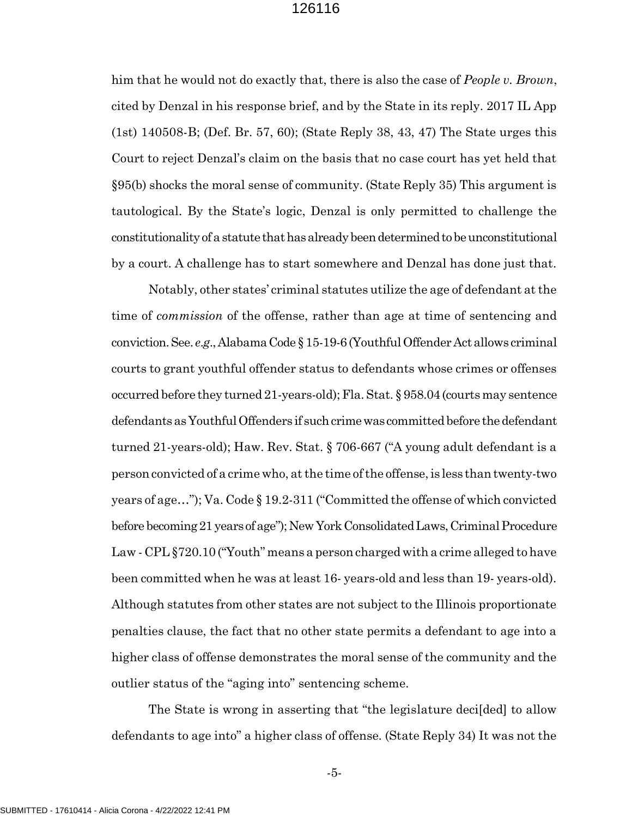him that he would not do exactly that, there is also the case of *People v. Brown*, cited by Denzal in his response brief, and by the State in its reply. 2017 IL App (1st) 140508-B; (Def. Br. 57, 60); (State Reply 38, 43, 47) The State urges this Court to reject Denzal's claim on the basis that no case court has yet held that §95(b) shocks the moral sense of community. (State Reply 35) This argument is tautological. By the State's logic, Denzal is only permitted to challenge the constitutionality of a statute that has already been determined to be unconstitutional by a court. A challenge has to start somewhere and Denzal has done just that.

Notably, other states' criminal statutes utilize the age of defendant at the time of commission of the offense, rather than age at time of sentencing and conviction. See. e.g., Alabama Code § 15-19-6 (Youthful Offender Act allows criminal courts to grant youthful offender status to defendants whose crimes or offenses occurred before they turned 21-years-old); Fla. Stat. § 958.04 (courts may sentence defendants as Youthful Offenders if such crime was committed before the defendant turned 21-years-old); Haw. Rev. Stat. § 706-667 ("A young adult defendant is a person convicted of a crime who, at the time of the offense, is less than twenty-two years of age…"); Va. Code § 19.2-311 ("Committed the offense of which convicted before becoming 21 years of age"); New York Consolidated Laws, Criminal Procedure Law - CPL §720.10 ("Youth" means a person charged with a crime alleged to have been committed when he was at least 16- years-old and less than 19- years-old). Although statutes from other states are not subject to the Illinois proportionate penalties clause, the fact that no other state permits a defendant to age into a higher class of offense demonstrates the moral sense of the community and the outlier status of the "aging into" sentencing scheme.

The State is wrong in asserting that "the legislature decilded to allow defendants to age into" a higher class of offense. (State Reply 34) It was not the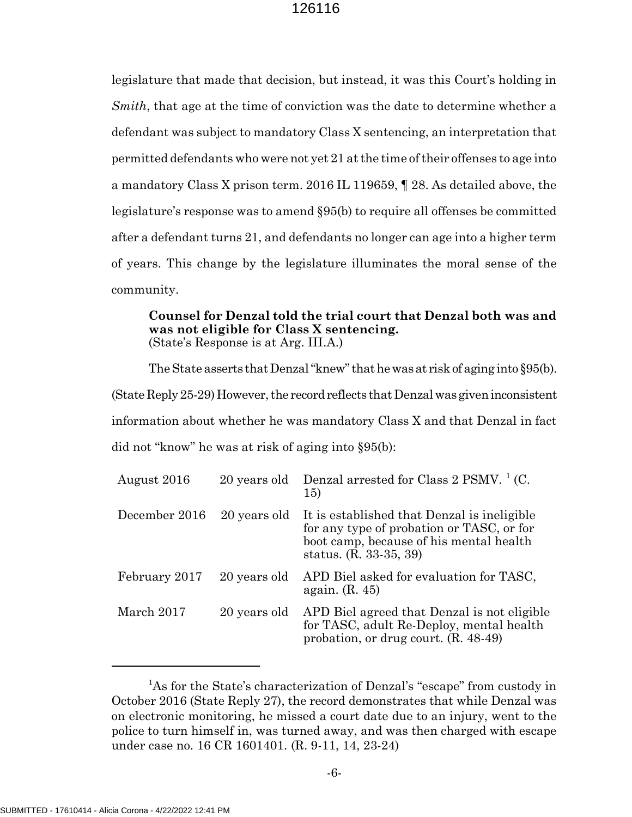legislature that made that decision, but instead, it was this Court's holding in Smith, that age at the time of conviction was the date to determine whether a defendant was subject to mandatory Class X sentencing, an interpretation that permitted defendants who were not yet 21 at the time of their offenses to age into a mandatory Class X prison term. 2016 IL 119659, ¶ 28. As detailed above, the legislature's response was to amend §95(b) to require all offenses be committed after a defendant turns 21, and defendants no longer can age into a higher term of years. This change by the legislature illuminates the moral sense of the community.

#### Counsel for Denzal told the trial court that Denzal both was and was not eligible for Class X sentencing. (State's Response is at Arg. III.A.)

The State asserts that Denzal "knew" that he was at risk of aging into §95(b). (State Reply 25-29) However, the record reflects that Denzal was given inconsistent information about whether he was mandatory Class X and that Denzal in fact did not "know" he was at risk of aging into §95(b):

| August 2016   | 20 years old | Denzal arrested for Class 2 PSMV. $^{1}$ (C.<br><b>15)</b>                                                                                                    |
|---------------|--------------|---------------------------------------------------------------------------------------------------------------------------------------------------------------|
| December 2016 | 20 years old | It is established that Denzal is ineligible<br>for any type of probation or TASC, or for<br>boot camp, because of his mental health<br>status. (R. 33-35, 39) |
| February 2017 | 20 years old | APD Biel asked for evaluation for TASC,<br>again. $(R. 45)$                                                                                                   |
| March 2017    | 20 years old | APD Biel agreed that Denzal is not eligible<br>for TASC, adult Re-Deploy, mental health<br>probation, or drug court. (R. 48-49)                               |

<sup>&</sup>lt;sup>1</sup>As for the State's characterization of Denzal's "escape" from custody in October 2016 (State Reply 27), the record demonstrates that while Denzal was on electronic monitoring, he missed a court date due to an injury, went to the police to turn himself in, was turned away, and was then charged with escape under case no. 16 CR 1601401. (R. 9-11, 14, 23-24)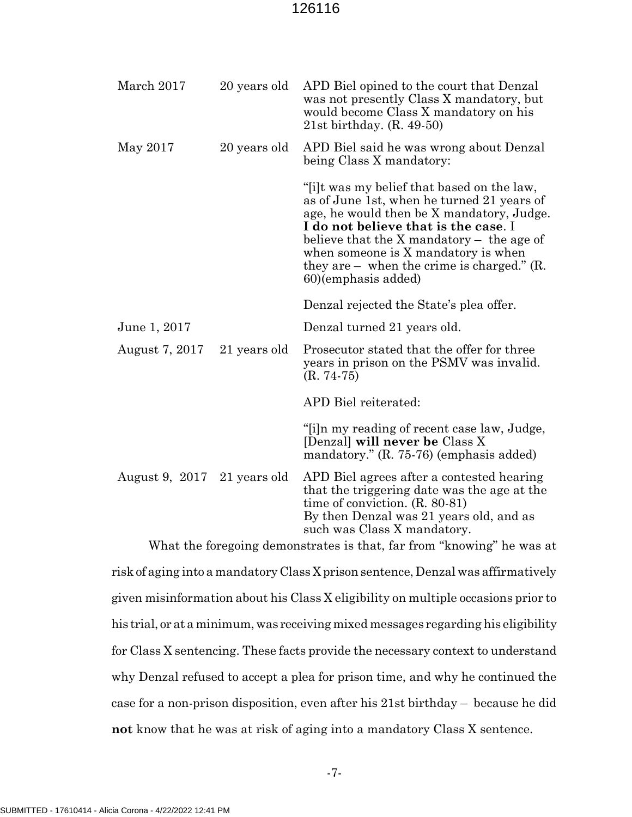| March 2017     | 20 years old | APD Biel opined to the court that Denzal<br>was not presently Class X mandatory, but<br>would become Class X mandatory on his<br>$21st$ birthday. $(R. 49-50)$                                                                                                                                                                                  |
|----------------|--------------|-------------------------------------------------------------------------------------------------------------------------------------------------------------------------------------------------------------------------------------------------------------------------------------------------------------------------------------------------|
| May 2017       | 20 years old | APD Biel said he was wrong about Denzal<br>being Class X mandatory:                                                                                                                                                                                                                                                                             |
|                |              | "[i]t was my belief that based on the law,<br>as of June 1st, when he turned 21 years of<br>age, he would then be X mandatory, Judge.<br>I do not believe that is the case. I<br>believe that the $X$ mandatory $-$ the age of<br>when someone is X mandatory is when<br>they are $-$ when the crime is charged." $(R$ .<br>60)(emphasis added) |
|                |              | Denzal rejected the State's plea offer.                                                                                                                                                                                                                                                                                                         |
| June 1, 2017   |              | Denzal turned 21 years old.                                                                                                                                                                                                                                                                                                                     |
| August 7, 2017 | 21 years old | Prosecutor stated that the offer for three<br>years in prison on the PSMV was invalid.<br>$(R. 74-75)$                                                                                                                                                                                                                                          |
|                |              | APD Biel reiterated:                                                                                                                                                                                                                                                                                                                            |
|                |              | "[i]n my reading of recent case law, Judge,<br>[Denzal] will never be Class X<br>mandatory." (R. 75-76) (emphasis added)                                                                                                                                                                                                                        |
| August 9, 2017 | 21 years old | APD Biel agrees after a contested hearing<br>that the triggering date was the age at the<br>time of conviction. $(R. 80-81)$<br>By then Denzal was 21 years old, and as<br>such was Class X mandatory.                                                                                                                                          |

What the foregoing demonstrates is that, far from "knowing" he was at risk of aging into a mandatory Class X prison sentence, Denzal was affirmatively given misinformation about his Class X eligibility on multiple occasions prior to his trial, or at a minimum, was receiving mixed messages regarding his eligibility for Class X sentencing. These facts provide the necessary context to understand why Denzal refused to accept a plea for prison time, and why he continued the case for a non-prison disposition, even after his 21st birthday – because he did not know that he was at risk of aging into a mandatory Class X sentence.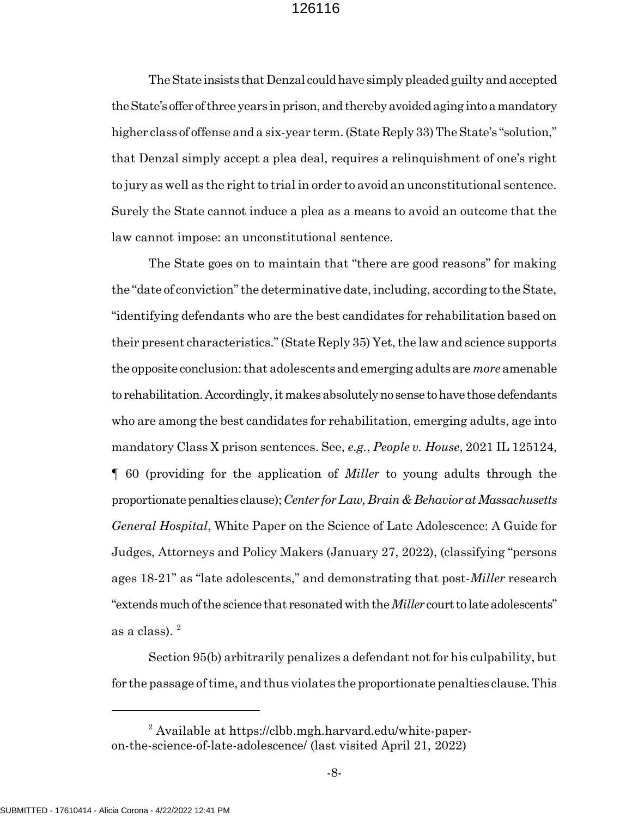The State insists that Denzal could have simply pleaded guilty and accepted the State's offer of three years in prison, and thereby avoided aging into a mandatory higher class of offense and a six-year term. (State Reply 33) The State's "solution," that Denzal simply accept a plea deal, requires a relinquishment of one's right to jury as well as the right to trial in order to avoid an unconstitutional sentence. Surely the State cannot induce a plea as a means to avoid an outcome that the law cannot impose: an unconstitutional sentence.

The State goes on to maintain that "there are good reasons" for making the "date of conviction" the determinative date, including, according to the State, "identifying defendants who are the best candidates for rehabilitation based on their present characteristics." (State Reply 35) Yet, the law and science supports the opposite conclusion: that adolescents and emerging adults are *more* amenable to rehabilitation. Accordingly, it makes absolutely no sense to have those defendants who are among the best candidates for rehabilitation, emerging adults, age into mandatory Class X prison sentences. See, e.g., People v. House, 2021 IL 125124, ¶ 60 (providing for the application of Miller to young adults through the proportionate penalties clause); Center for Law, Brain & Behavior at Massachusetts General Hospital, White Paper on the Science of Late Adolescence: A Guide for Judges, Attorneys and Policy Makers (January 27, 2022), (classifying "persons ages 18-21" as "late adolescents," and demonstrating that post-Miller research "extends much of the science that resonated with the *Miller* court to late adolescents" as a class).  $^{2}$ 

Section 95(b) arbitrarily penalizes a defendant not for his culpability, but for the passage of time, and thus violates the proportionate penalties clause. This

<sup>&</sup>lt;sup>2</sup> Available at https://clbb.mgh.harvard.edu/white-paperon-the-science-of-late-adolescence/ (last visited April 21, 2022)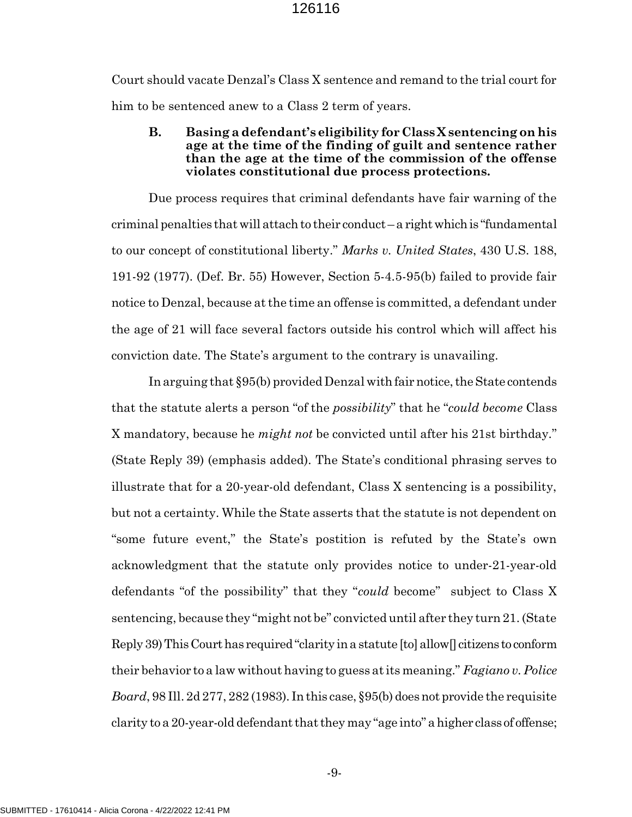Court should vacate Denzal's Class X sentence and remand to the trial court for him to be sentenced anew to a Class 2 term of years.

B. Basing a defendant's eligibility for Class X sentencing on his age at the time of the finding of guilt and sentence rather than the age at the time of the commission of the offense violates constitutional due process protections.

Due process requires that criminal defendants have fair warning of the criminal penalties that will attach to their conduct – a right which is "fundamental to our concept of constitutional liberty." Marks v. United States, 430 U.S. 188, 191-92 (1977). (Def. Br. 55) However, Section 5-4.5-95(b) failed to provide fair notice to Denzal, because at the time an offense is committed, a defendant under the age of 21 will face several factors outside his control which will affect his conviction date. The State's argument to the contrary is unavailing.

In arguing that §95(b) provided Denzal with fair notice, the State contends that the statute alerts a person "of the *possibility*" that he "*could become* Class X mandatory, because he *might not* be convicted until after his 21st birthday." (State Reply 39) (emphasis added). The State's conditional phrasing serves to illustrate that for a 20-year-old defendant, Class X sentencing is a possibility, but not a certainty. While the State asserts that the statute is not dependent on "some future event," the State's postition is refuted by the State's own acknowledgment that the statute only provides notice to under-21-year-old defendants "of the possibility" that they "could become" subject to Class X sentencing, because they "might not be" convicted until after they turn 21. (State Reply 39) This Court has required "clarity in a statute [to] allow[] citizens to conform their behavior to a law without having to guess at its meaning." Fagiano v. Police Board, 98 Ill. 2d 277, 282 (1983). In this case, §95(b) does not provide the requisite clarity to a 20-year-old defendant that they may "age into" a higher class of offense;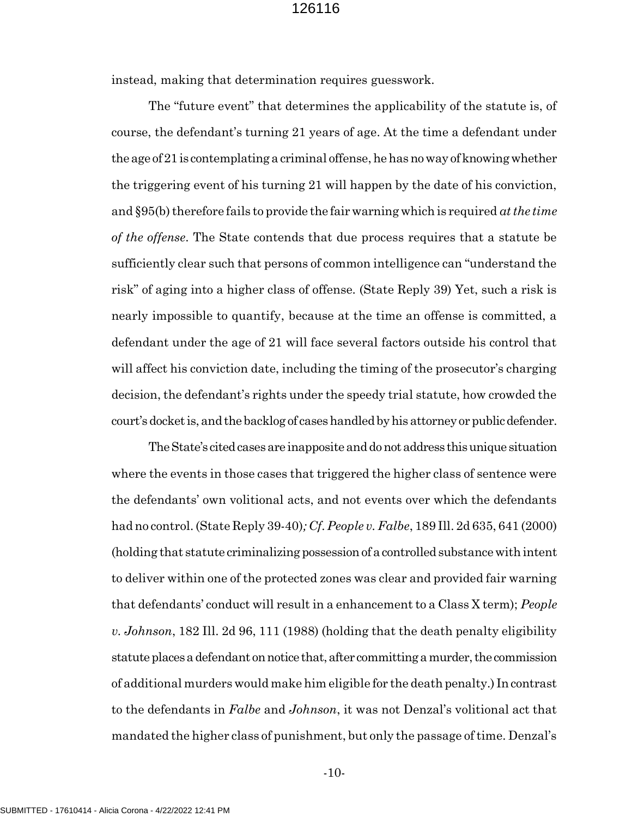instead, making that determination requires guesswork.

The "future event" that determines the applicability of the statute is, of course, the defendant's turning 21 years of age. At the time a defendant under the age of 21 is contemplating a criminal offense, he has no way of knowing whether the triggering event of his turning 21 will happen by the date of his conviction, and §95(b) therefore fails to provide the fair warning which is required at the time of the offense. The State contends that due process requires that a statute be sufficiently clear such that persons of common intelligence can "understand the risk" of aging into a higher class of offense. (State Reply 39) Yet, such a risk is nearly impossible to quantify, because at the time an offense is committed, a defendant under the age of 21 will face several factors outside his control that will affect his conviction date, including the timing of the prosecutor's charging decision, the defendant's rights under the speedy trial statute, how crowded the court's docket is, and the backlog of cases handled by his attorney or public defender.

The State's cited cases are inapposite and do not address this unique situation where the events in those cases that triggered the higher class of sentence were the defendants' own volitional acts, and not events over which the defendants had no control. (State Reply 39-40); Cf. People v. Falbe, 189 Ill. 2d 635, 641 (2000) (holding that statute criminalizing possession of a controlled substance with intent to deliver within one of the protected zones was clear and provided fair warning that defendants' conduct will result in a enhancement to a Class X term); People v. Johnson, 182 Ill. 2d 96, 111 (1988) (holding that the death penalty eligibility statute places a defendant on notice that, after committing a murder, the commission of additional murders would make him eligible for the death penalty.) In contrast to the defendants in Falbe and Johnson, it was not Denzal's volitional act that mandated the higher class of punishment, but only the passage of time. Denzal's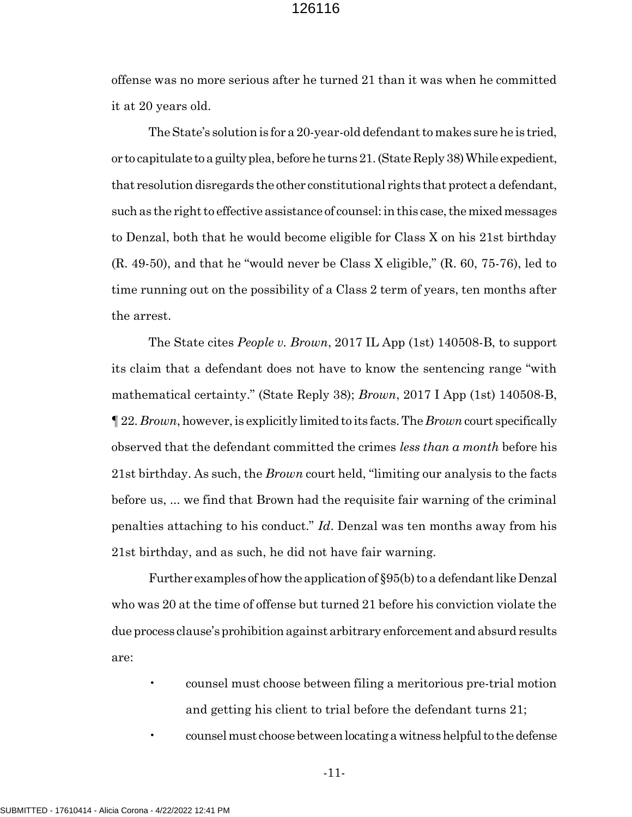offense was no more serious after he turned 21 than it was when he committed it at 20 years old.

The State's solution is for a 20-year-old defendant to makes sure he is tried, or to capitulate to a guilty plea, before he turns 21. (State Reply 38) While expedient, that resolution disregards the other constitutional rights that protect a defendant, such as the right to effective assistance of counsel: in this case, the mixed messages to Denzal, both that he would become eligible for Class X on his 21st birthday (R. 49-50), and that he "would never be Class X eligible," (R. 60, 75-76), led to time running out on the possibility of a Class 2 term of years, ten months after the arrest.

The State cites People v. Brown, 2017 IL App (1st) 140508-B, to support its claim that a defendant does not have to know the sentencing range "with mathematical certainty." (State Reply 38); *Brown*, 2017 I App (1st) 140508-B, ¶ 22. Brown, however, is explicitly limited to its facts. The Brown court specifically observed that the defendant committed the crimes less than a month before his 21st birthday. As such, the *Brown* court held, "limiting our analysis to the facts before us, ... we find that Brown had the requisite fair warning of the criminal penalties attaching to his conduct."  $Id$ . Denzal was ten months away from his 21st birthday, and as such, he did not have fair warning.

Further examples of how the application of §95(b) to a defendant like Denzal who was 20 at the time of offense but turned 21 before his conviction violate the due process clause's prohibition against arbitrary enforcement and absurd results are:

- counsel must choose between filing a meritorious pre-trial motion and getting his client to trial before the defendant turns 21;
- counsel must choose between locating a witness helpful to the defense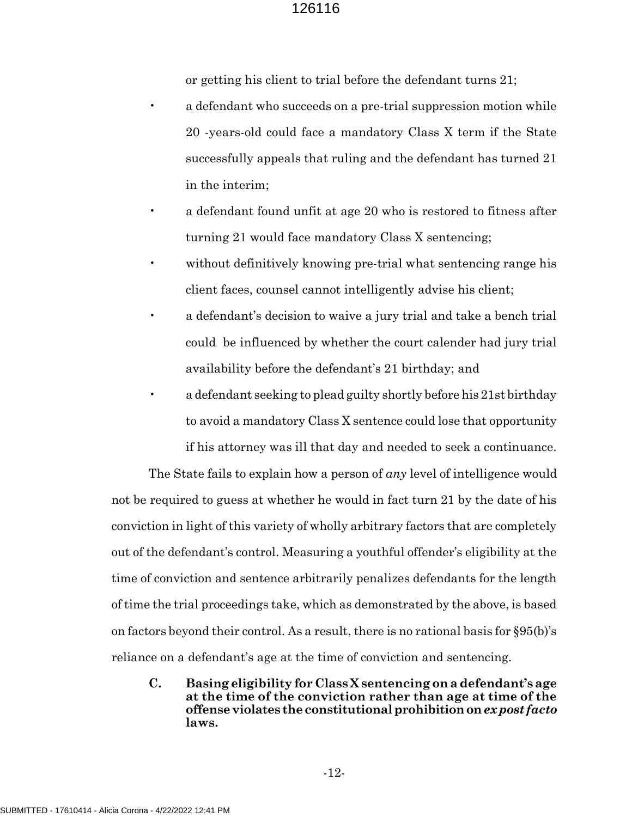or getting his client to trial before the defendant turns 21;

- a defendant who succeeds on a pre-trial suppression motion while 20 -years-old could face a mandatory Class X term if the State successfully appeals that ruling and the defendant has turned 21 in the interim;
- a defendant found unfit at age 20 who is restored to fitness after turning 21 would face mandatory Class X sentencing;
- without definitively knowing pre-trial what sentencing range his client faces, counsel cannot intelligently advise his client;
- a defendant's decision to waive a jury trial and take a bench trial could be influenced by whether the court calender had jury trial availability before the defendant's 21 birthday; and
- a defendant seeking to plead guilty shortly before his 21st birthday to avoid a mandatory Class X sentence could lose that opportunity if his attorney was ill that day and needed to seek a continuance.

The State fails to explain how a person of  $an\gamma$  level of intelligence would not be required to guess at whether he would in fact turn 21 by the date of his conviction in light of this variety of wholly arbitrary factors that are completely out of the defendant's control. Measuring a youthful offender's eligibility at the time of conviction and sentence arbitrarily penalizes defendants for the length of time the trial proceedings take, which as demonstrated by the above, is based on factors beyond their control. As a result, there is no rational basis for §95(b)'s reliance on a defendant's age at the time of conviction and sentencing.

C. Basing eligibility for Class X sentencing on a defendant's age at the time of the conviction rather than age at time of the offense violates the constitutional prohibition on ex post facto laws.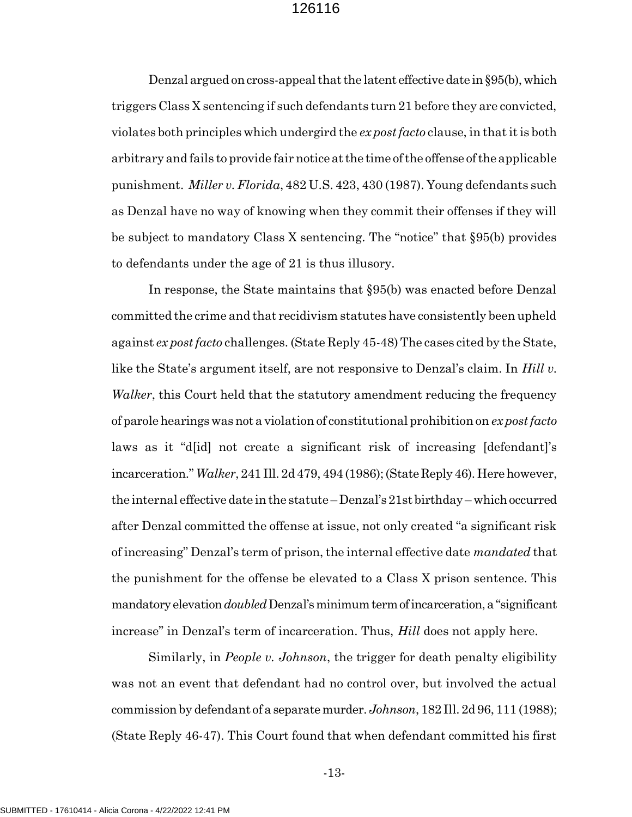Denzal argued on cross-appeal that the latent effective date in §95(b), which triggers Class X sentencing if such defendants turn 21 before they are convicted, violates both principles which undergird the  $ex$  post facto clause, in that it is both arbitrary and fails to provide fair notice at the time of the offense of the applicable punishment. Miller v. Florida, 482 U.S. 423, 430 (1987). Young defendants such as Denzal have no way of knowing when they commit their offenses if they will be subject to mandatory Class X sentencing. The "notice" that §95(b) provides to defendants under the age of 21 is thus illusory.

In response, the State maintains that §95(b) was enacted before Denzal committed the crime and that recidivism statutes have consistently been upheld against ex post facto challenges. (State Reply 45-48) The cases cited by the State, like the State's argument itself, are not responsive to Denzal's claim. In Hill v. Walker, this Court held that the statutory amendment reducing the frequency of parole hearings was not a violation of constitutional prohibition on ex post facto laws as it "d[id] not create a significant risk of increasing [defendant]'s incarceration." Walker, 241 Ill. 2d 479, 494 (1986); (State Reply 46). Here however, the internal effective date in the statute – Denzal's 21st birthday – which occurred after Denzal committed the offense at issue, not only created "a significant risk of increasing" Denzal's term of prison, the internal effective date *mandated* that the punishment for the offense be elevated to a Class X prison sentence. This mandatory elevation *doubled* Denzal's minimum term of incarceration, a "significant increase" in Denzal's term of incarceration. Thus, *Hill* does not apply here.

Similarly, in People v. Johnson, the trigger for death penalty eligibility was not an event that defendant had no control over, but involved the actual commission by defendant of a separate murder. Johnson, 182 Ill. 2d 96, 111 (1988); (State Reply 46-47). This Court found that when defendant committed his first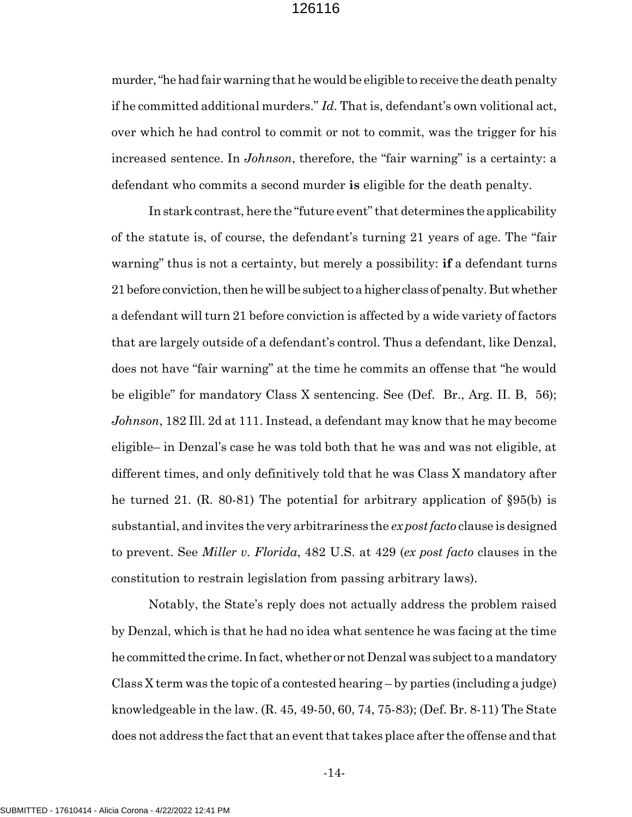murder, "he had fair warning that he would be eligible to receive the death penalty if he committed additional murders." Id. That is, defendant's own volitional act, over which he had control to commit or not to commit, was the trigger for his increased sentence. In *Johnson*, therefore, the "fair warning" is a certainty: a defendant who commits a second murder is eligible for the death penalty.

In stark contrast, here the "future event" that determines the applicability of the statute is, of course, the defendant's turning 21 years of age. The "fair warning" thus is not a certainty, but merely a possibility: **if** a defendant turns 21 before conviction, then he will be subject to a higher class of penalty. But whether a defendant will turn 21 before conviction is affected by a wide variety of factors that are largely outside of a defendant's control. Thus a defendant, like Denzal, does not have "fair warning" at the time he commits an offense that "he would be eligible" for mandatory Class X sentencing. See (Def. Br., Arg. II. B, 56); Johnson, 182 Ill. 2d at 111. Instead, a defendant may know that he may become eligible– in Denzal's case he was told both that he was and was not eligible, at different times, and only definitively told that he was Class X mandatory after he turned 21. (R. 80-81) The potential for arbitrary application of §95(b) is substantial, and invites the very arbitrariness the  $\exp\int$  facto clause is designed to prevent. See *Miller v. Florida*, 482 U.S. at 429 (*ex post facto* clauses in the constitution to restrain legislation from passing arbitrary laws).

Notably, the State's reply does not actually address the problem raised by Denzal, which is that he had no idea what sentence he was facing at the time he committed the crime. In fact, whether or not Denzal was subject to a mandatory Class X term was the topic of a contested hearing – by parties (including a judge) knowledgeable in the law. (R. 45, 49-50, 60, 74, 75-83); (Def. Br. 8-11) The State does not address the fact that an event that takes place after the offense and that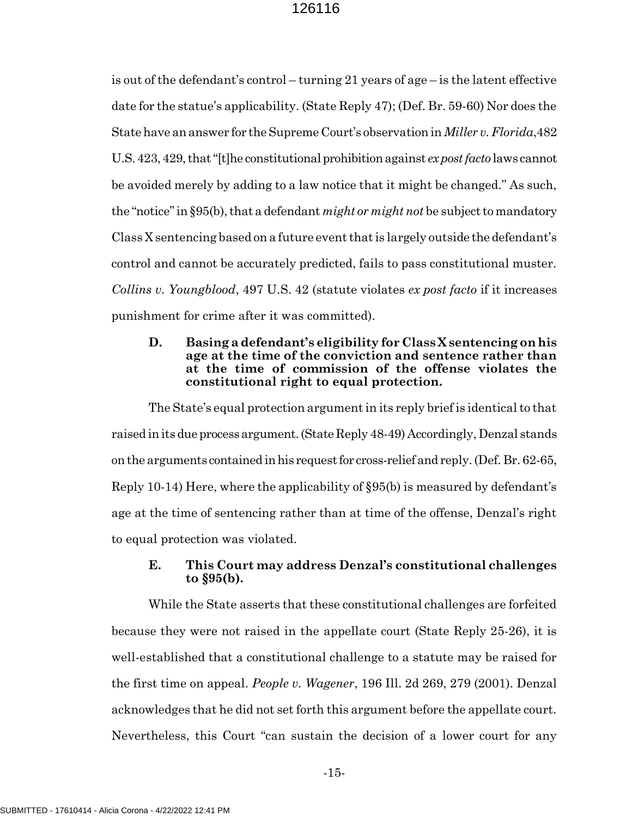is out of the defendant's control – turning 21 years of age – is the latent effective date for the statue's applicability. (State Reply 47); (Def. Br. 59-60) Nor does the State have an answer for the Supreme Court's observation in *Miller v. Florida*, 482 U.S. 423, 429, that "[t]he constitutional prohibition against ex post facto laws cannot be avoided merely by adding to a law notice that it might be changed." As such, the "notice" in §95(b), that a defendant *might or might not* be subject to mandatory Class X sentencing based on a future event that is largely outside the defendant's control and cannot be accurately predicted, fails to pass constitutional muster. Collins v. Youngblood, 497 U.S. 42 (statute violates ex post facto if it increases punishment for crime after it was committed).

#### D. Basing a defendant's eligibility for Class X sentencing on his age at the time of the conviction and sentence rather than at the time of commission of the offense violates the constitutional right to equal protection.

The State's equal protection argument in its reply brief is identical to that raised in its due process argument. (State Reply 48-49) Accordingly, Denzal stands on the arguments contained in his request for cross-relief and reply. (Def. Br. 62-65, Reply 10-14) Here, where the applicability of §95(b) is measured by defendant's age at the time of sentencing rather than at time of the offense, Denzal's right to equal protection was violated.

# E. This Court may address Denzal's constitutional challenges to §95(b).

While the State asserts that these constitutional challenges are forfeited because they were not raised in the appellate court (State Reply 25-26), it is well-established that a constitutional challenge to a statute may be raised for the first time on appeal. People v. Wagener, 196 Ill. 2d 269, 279 (2001). Denzal acknowledges that he did not set forth this argument before the appellate court. Nevertheless, this Court "can sustain the decision of a lower court for any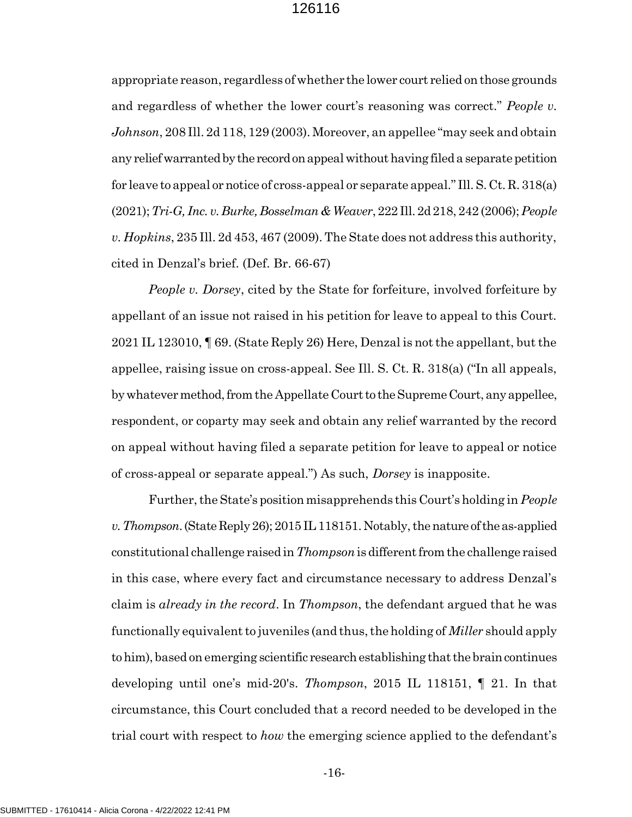appropriate reason, regardless of whether the lower court relied on those grounds and regardless of whether the lower court's reasoning was correct." People v. Johnson, 208 Ill. 2d 118, 129 (2003). Moreover, an appellee "may seek and obtain any relief warranted by the record on appeal without having filed a separate petition for leave to appeal or notice of cross-appeal or separate appeal." Ill. S. Ct. R. 318(a) (2021); Tri-G, Inc. v. Burke, Bosselman & Weaver, 222 Ill. 2d 218, 242 (2006); People v. Hopkins, 235 Ill. 2d 453, 467 (2009). The State does not address this authority, cited in Denzal's brief. (Def. Br. 66-67)

People v. Dorsey, cited by the State for forfeiture, involved forfeiture by appellant of an issue not raised in his petition for leave to appeal to this Court. 2021 IL 123010, ¶ 69. (State Reply 26) Here, Denzal is not the appellant, but the appellee, raising issue on cross-appeal. See Ill. S. Ct. R. 318(a) ("In all appeals, by whatever method, from the Appellate Court to the Supreme Court, any appellee, respondent, or coparty may seek and obtain any relief warranted by the record on appeal without having filed a separate petition for leave to appeal or notice of cross-appeal or separate appeal.") As such, Dorsey is inapposite.

Further, the State's position misapprehends this Court's holding in People v. Thompson. (State Reply 26); 2015 IL 118151. Notably, the nature of the as-applied constitutional challenge raised in Thompson is different from the challenge raised in this case, where every fact and circumstance necessary to address Denzal's claim is *already in the record*. In *Thompson*, the defendant argued that he was functionally equivalent to juveniles (and thus, the holding of *Miller* should apply to him), based on emerging scientific research establishing that the brain continues developing until one's mid-20's. Thompson, 2015 IL 118151, ¶ 21. In that circumstance, this Court concluded that a record needed to be developed in the trial court with respect to *how* the emerging science applied to the defendant's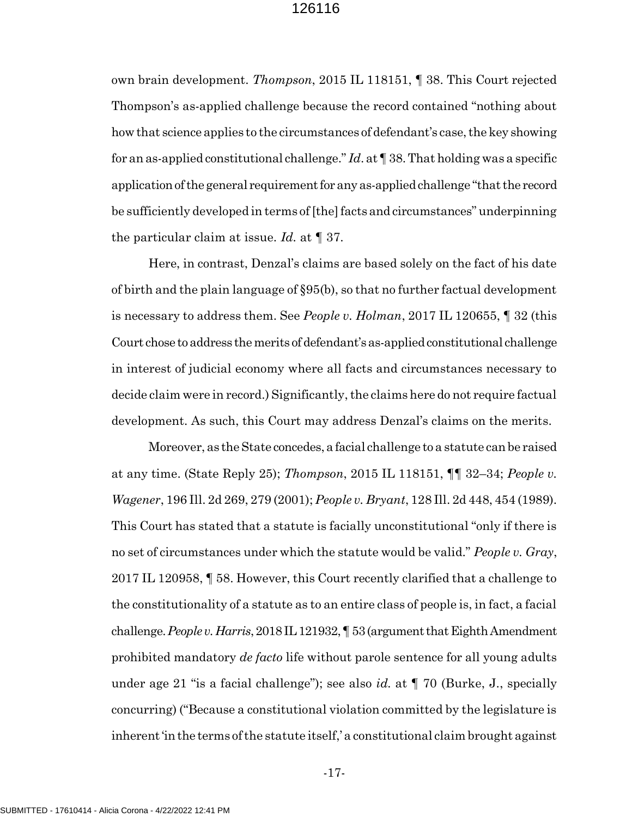own brain development. Thompson, 2015 IL 118151, ¶ 38. This Court rejected Thompson's as-applied challenge because the record contained "nothing about how that science applies to the circumstances of defendant's case, the key showing for an as-applied constitutional challenge." Id. at  $\P$  38. That holding was a specific application of the general requirement for any as-applied challenge "that the record be sufficiently developed in terms of [the] facts and circumstances" underpinning the particular claim at issue. Id. at  $\P$  37.

Here, in contrast, Denzal's claims are based solely on the fact of his date of birth and the plain language of §95(b), so that no further factual development is necessary to address them. See *People v. Holman*, 2017 IL 120655,  $\parallel$  32 (this Court chose to address the merits of defendant's as-applied constitutional challenge in interest of judicial economy where all facts and circumstances necessary to decide claim were in record.) Significantly, the claims here do not require factual development. As such, this Court may address Denzal's claims on the merits.

Moreover, as the State concedes, a facial challenge to a statute can be raised at any time. (State Reply 25); Thompson, 2015 IL 118151, ¶¶ 32–34; People v. Wagener, 196 Ill. 2d 269, 279 (2001); People v. Bryant, 128 Ill. 2d 448, 454 (1989). This Court has stated that a statute is facially unconstitutional "only if there is no set of circumstances under which the statute would be valid." People v. Gray, 2017 IL 120958, ¶ 58. However, this Court recently clarified that a challenge to the constitutionality of a statute as to an entire class of people is, in fact, a facial challenge. People v. Harris, 2018 IL 121932,  $\P$  53 (argument that Eighth Amendment prohibited mandatory *de facto* life without parole sentence for all young adults under age 21 "is a facial challenge"); see also *id.* at  $\P$  70 (Burke, J., specially concurring) ("Because a constitutional violation committed by the legislature is inherent 'in the terms of the statute itself,' a constitutional claim brought against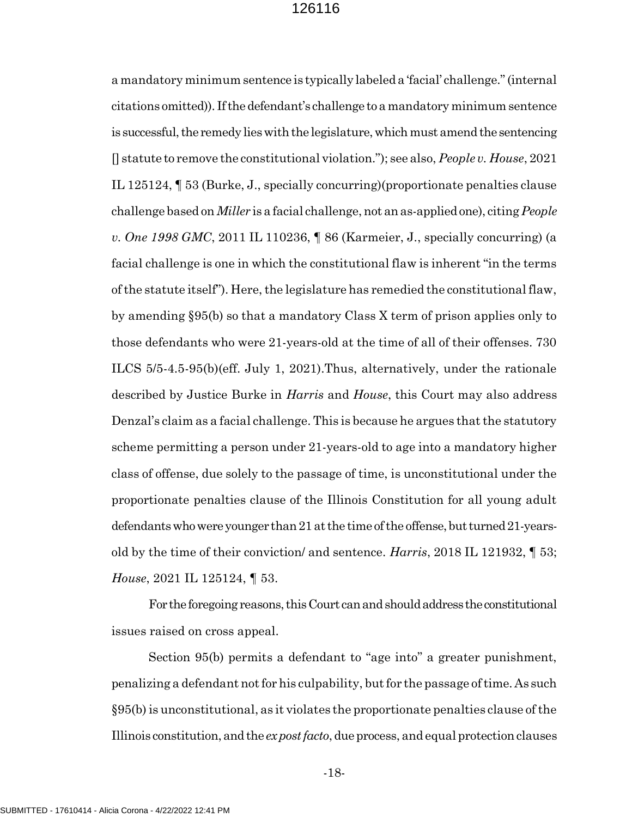a mandatory minimum sentence is typically labeled a 'facial' challenge." (internal citations omitted)). If the defendant's challenge to a mandatory minimum sentence is successful, the remedy lies with the legislature, which must amend the sentencing [] statute to remove the constitutional violation."); see also, People v. House, 2021 IL 125124, ¶ 53 (Burke, J., specially concurring)(proportionate penalties clause challenge based on Miller is a facial challenge, not an as-applied one), citing People v. One 1998 GMC, 2011 IL 110236, ¶ 86 (Karmeier, J., specially concurring) (a facial challenge is one in which the constitutional flaw is inherent "in the terms of the statute itself"). Here, the legislature has remedied the constitutional flaw, by amending §95(b) so that a mandatory Class X term of prison applies only to those defendants who were 21-years-old at the time of all of their offenses. 730 ILCS 5/5-4.5-95(b)(eff. July 1, 2021).Thus, alternatively, under the rationale described by Justice Burke in *Harris* and *House*, this Court may also address Denzal's claim as a facial challenge. This is because he argues that the statutory scheme permitting a person under 21-years-old to age into a mandatory higher class of offense, due solely to the passage of time, is unconstitutional under the proportionate penalties clause of the Illinois Constitution for all young adult defendants who were younger than 21 at the time of the offense, but turned 21-yearsold by the time of their conviction/ and sentence. Harris, 2018 IL 121932, ¶ 53; House, 2021 IL 125124, ¶ 53.

For the foregoing reasons, this Court can and should address the constitutional issues raised on cross appeal.

Section 95(b) permits a defendant to "age into" a greater punishment, penalizing a defendant not for his culpability, but for the passage of time. As such §95(b) is unconstitutional, as it violates the proportionate penalties clause of the Illinois constitution, and the ex post facto, due process, and equal protection clauses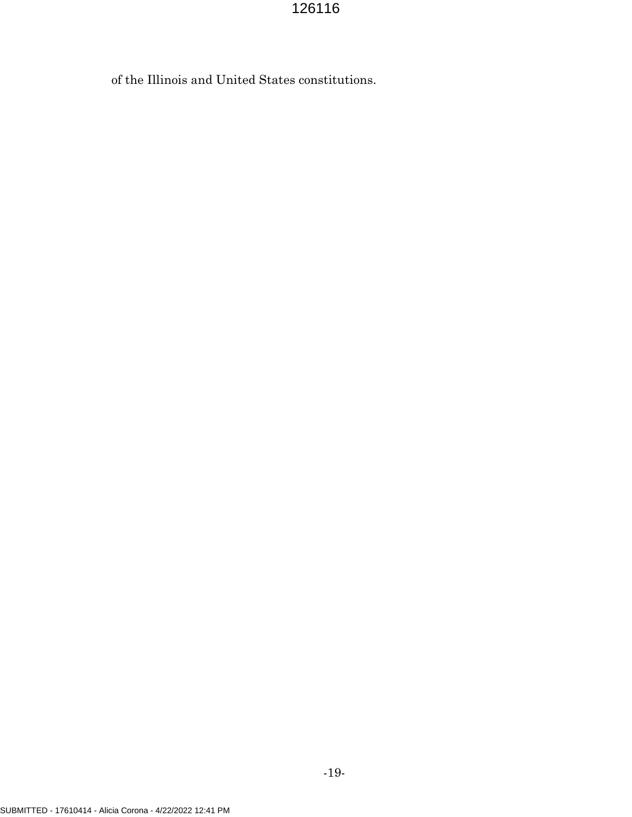of the Illinois and United States constitutions.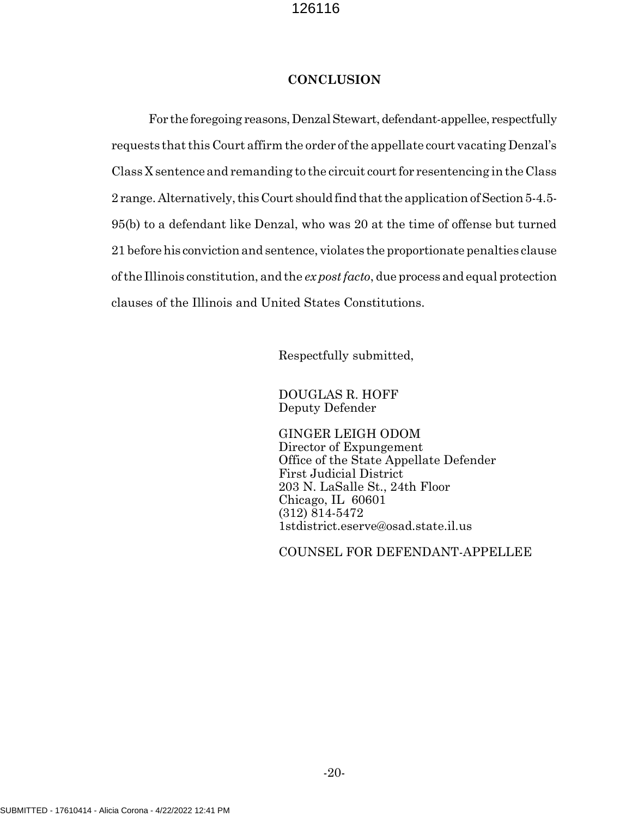### **CONCLUSION**

For the foregoing reasons, Denzal Stewart, defendant-appellee, respectfully requests that this Court affirm the order of the appellate court vacating Denzal's Class X sentence and remanding to the circuit court for resentencing in the Class 2 range. Alternatively, this Court should find that the application of Section 5-4.5- 95(b) to a defendant like Denzal, who was 20 at the time of offense but turned 21 before his conviction and sentence, violates the proportionate penalties clause of the Illinois constitution, and the ex post facto, due process and equal protection clauses of the Illinois and United States Constitutions.

Respectfully submitted,

DOUGLAS R. HOFF Deputy Defender

GINGER LEIGH ODOM Director of Expungement Office of the State Appellate Defender First Judicial District 203 N. LaSalle St., 24th Floor Chicago, IL 60601 (312) 814-5472 1stdistrict.eserve@osad.state.il.us

COUNSEL FOR DEFENDANT-APPELLEE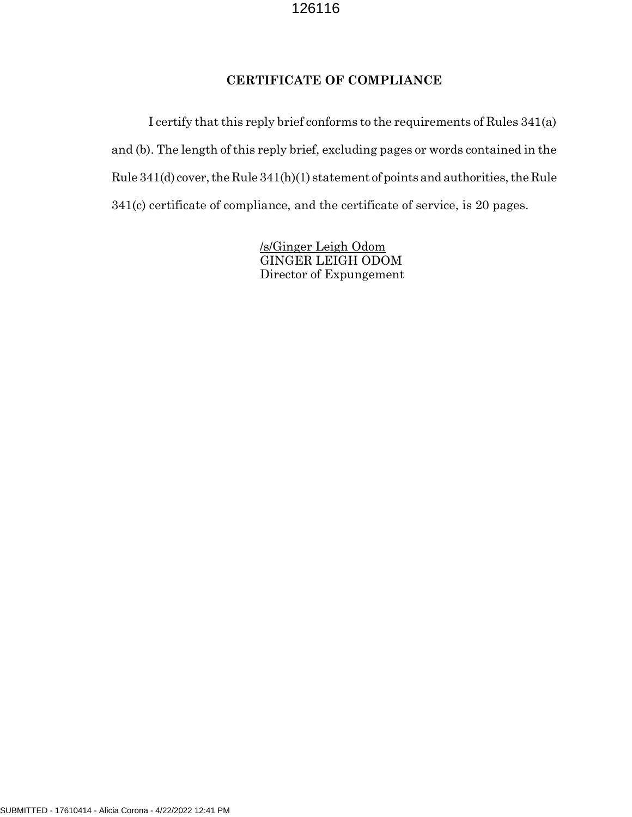# CERTIFICATE OF COMPLIANCE

I certify that this reply brief conforms to the requirements of Rules 341(a) and (b). The length of this reply brief, excluding pages or words contained in the Rule 341(d) cover, the Rule 341(h)(1) statement of points and authorities, the Rule 341(c) certificate of compliance, and the certificate of service, is 20 pages.

> /s/Ginger Leigh Odom GINGER LEIGH ODOM Director of Expungement